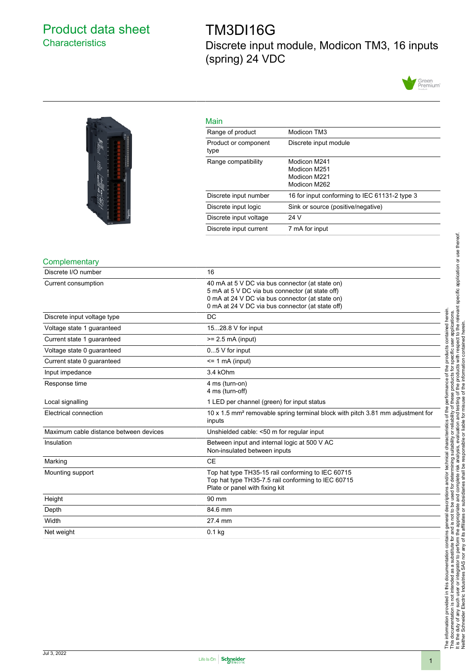# <span id="page-0-0"></span>Product data sheet **Characteristics**

# TM3DI16G Discrete input module, Modicon TM3, 16 inputs (spring) 24 VDC





| Main                         |                                                              |
|------------------------------|--------------------------------------------------------------|
| Range of product             | Modicon TM3                                                  |
| Product or component<br>type | Discrete input module                                        |
| Range compatibility          | Modicon M241<br>Modicon M251<br>Modicon M221<br>Modicon M262 |
| Discrete input number        | 16 for input conforming to IEC 61131-2 type 3                |
| Discrete input logic         | Sink or source (positive/negative)                           |
| Discrete input voltage       | 24 V                                                         |
| Discrete input current       | 7 mA for input                                               |

### **Complementary**

| Discrete I/O number                    | 16                                                                                                  |
|----------------------------------------|-----------------------------------------------------------------------------------------------------|
| Current consumption                    | 40 mA at 5 V DC via bus connector (at state on)<br>5 mA at 5 V DC via bus connector (at state off)  |
|                                        |                                                                                                     |
|                                        | 0 mA at 24 V DC via bus connector (at state on)<br>0 mA at 24 V DC via bus connector (at state off) |
|                                        |                                                                                                     |
| Discrete input voltage type            | <b>DC</b>                                                                                           |
| Voltage state 1 guaranteed             | 1528.8 V for input                                                                                  |
| Current state 1 guaranteed             | $>= 2.5$ mA (input)                                                                                 |
| Voltage state 0 guaranteed             | $05$ V for input                                                                                    |
| Current state 0 quaranteed             | $\leq$ 1 mA (input)                                                                                 |
| Input impedance                        | 3.4 kOhm                                                                                            |
| Response time                          | 4 ms (turn-on)                                                                                      |
|                                        | 4 ms (turn-off)                                                                                     |
| Local signalling                       | 1 LED per channel (green) for input status                                                          |
| Electrical connection                  | 10 x 1.5 mm <sup>2</sup> removable spring terminal block with pitch 3.81 mm adjustment for          |
|                                        | inputs                                                                                              |
| Maximum cable distance between devices | Unshielded cable: <50 m for regular input                                                           |
| Insulation                             | Between input and internal logic at 500 V AC                                                        |
|                                        | Non-insulated between inputs                                                                        |
| Marking                                | <b>CE</b>                                                                                           |
| Mounting support                       | Top hat type TH35-15 rail conforming to IEC 60715                                                   |
|                                        | Top hat type TH35-7.5 rail conforming to IEC 60715                                                  |
|                                        | Plate or panel with fixing kit                                                                      |
| Height                                 | 90 mm                                                                                               |
| Depth                                  | 84.6 mm                                                                                             |
| Width                                  | 27.4 mm                                                                                             |
| Net weight                             | $0.1$ kg                                                                                            |

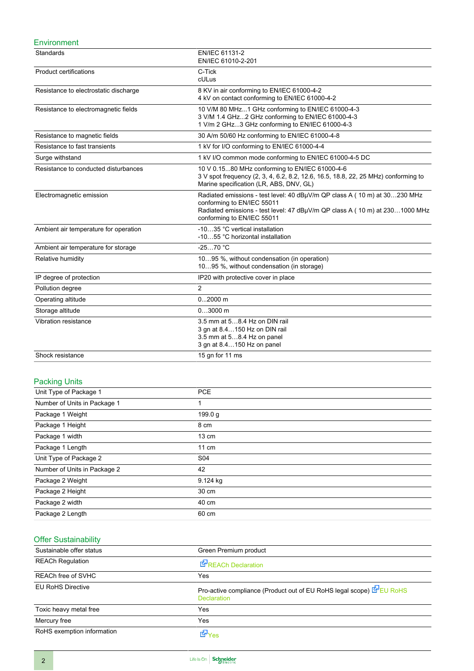### Environment

| Standards                             | EN/IEC 61131-2<br>EN/IEC 61010-2-201                                                                                                                                                                                 |
|---------------------------------------|----------------------------------------------------------------------------------------------------------------------------------------------------------------------------------------------------------------------|
| <b>Product certifications</b>         | C-Tick<br>cULus                                                                                                                                                                                                      |
| Resistance to electrostatic discharge | 8 KV in air conforming to EN/IEC 61000-4-2<br>4 kV on contact conforming to EN/IEC 61000-4-2                                                                                                                         |
| Resistance to electromagnetic fields  | 10 V/M 80 MHz1 GHz conforming to EN/IEC 61000-4-3<br>3 V/M 1.4 GHz2 GHz conforming to EN/IEC 61000-4-3<br>1 V/m 2 GHz3 GHz conforming to EN/IEC 61000-4-3                                                            |
| Resistance to magnetic fields         | 30 A/m 50/60 Hz conforming to EN/IEC 61000-4-8                                                                                                                                                                       |
| Resistance to fast transients         | 1 kV for I/O conforming to EN/IEC 61000-4-4                                                                                                                                                                          |
| Surge withstand                       | 1 kV I/O common mode conforming to EN/IEC 61000-4-5 DC                                                                                                                                                               |
| Resistance to conducted disturbances  | 10 V 0.1580 MHz conforming to EN/IEC 61000-4-6<br>3 V spot frequency (2, 3, 4, 6.2, 8.2, 12.6, 16.5, 18.8, 22, 25 MHz) conforming to<br>Marine specification (LR, ABS, DNV, GL)                                      |
| Electromagnetic emission              | Radiated emissions - test level: 40 dBµV/m QP class A (10 m) at 30230 MHz<br>conforming to EN/IEC 55011<br>Radiated emissions - test level: 47 dBµV/m QP class A (10 m) at 2301000 MHz<br>conforming to EN/IEC 55011 |
| Ambient air temperature for operation | -1035 °C vertical installation<br>-1055 °C horizontal installation                                                                                                                                                   |
| Ambient air temperature for storage   | $-2570 °C$                                                                                                                                                                                                           |
| Relative humidity                     | 1095 %, without condensation (in operation)<br>1095 %, without condensation (in storage)                                                                                                                             |
| IP degree of protection               | IP20 with protective cover in place                                                                                                                                                                                  |
| Pollution degree                      | $\overline{2}$                                                                                                                                                                                                       |
| Operating altitude                    | $02000$ m                                                                                                                                                                                                            |
| Storage altitude                      | $03000$ m                                                                                                                                                                                                            |
| Vibration resistance                  | 3.5 mm at 58.4 Hz on DIN rail<br>3 gn at 8.4150 Hz on DIN rail<br>3.5 mm at 58.4 Hz on panel<br>3 gn at 8.4150 Hz on panel                                                                                           |
| Shock resistance                      | 15 gn for 11 ms                                                                                                                                                                                                      |

### Packing Units

| Unit Type of Package 1       | <b>PCE</b>      |  |
|------------------------------|-----------------|--|
| Number of Units in Package 1 | 1               |  |
| Package 1 Weight             | 199.0 g         |  |
| Package 1 Height             | 8 cm            |  |
| Package 1 width              | $13 \text{ cm}$ |  |
| Package 1 Length             | $11 \text{ cm}$ |  |
| Unit Type of Package 2       | S04             |  |
| Number of Units in Package 2 | 42              |  |
| Package 2 Weight             | 9.124 kg        |  |
| Package 2 Height             | 30 cm           |  |
| Package 2 width              | 40 cm           |  |
| Package 2 Length             | 60 cm           |  |

## Offer Sustainability

| Sustainable offer status   | Green Premium product                                                                      |
|----------------------------|--------------------------------------------------------------------------------------------|
| <b>REACh Regulation</b>    | <b>E</b> REACh Declaration                                                                 |
| <b>REACh free of SVHC</b>  | Yes                                                                                        |
| <b>EU RoHS Directive</b>   | Pro-active compliance (Product out of EU RoHS legal scope) E EU RoHS<br><b>Declaration</b> |
| Toxic heavy metal free     | Yes                                                                                        |
| Mercury free               | Yes                                                                                        |
| RoHS exemption information | <b>E</b> Ves                                                                               |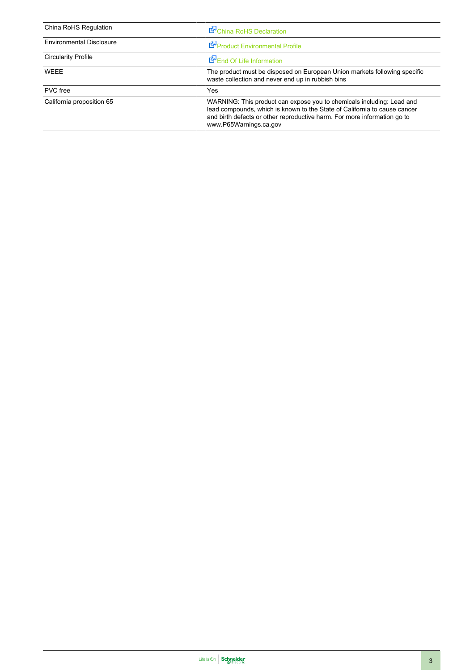| China RoHS Regulation           | China RoHS Declaration                                                                                                                                                                                                                                   |
|---------------------------------|----------------------------------------------------------------------------------------------------------------------------------------------------------------------------------------------------------------------------------------------------------|
| <b>Environmental Disclosure</b> | Product Environmental Profile                                                                                                                                                                                                                            |
| <b>Circularity Profile</b>      | End Of Life Information                                                                                                                                                                                                                                  |
| WEEE                            | The product must be disposed on European Union markets following specific<br>waste collection and never end up in rubbish bins                                                                                                                           |
| <b>PVC</b> free                 | Yes                                                                                                                                                                                                                                                      |
| California proposition 65       | WARNING: This product can expose you to chemicals including: Lead and<br>lead compounds, which is known to the State of California to cause cancer<br>and birth defects or other reproductive harm. For more information go to<br>www.P65Warnings.ca.gov |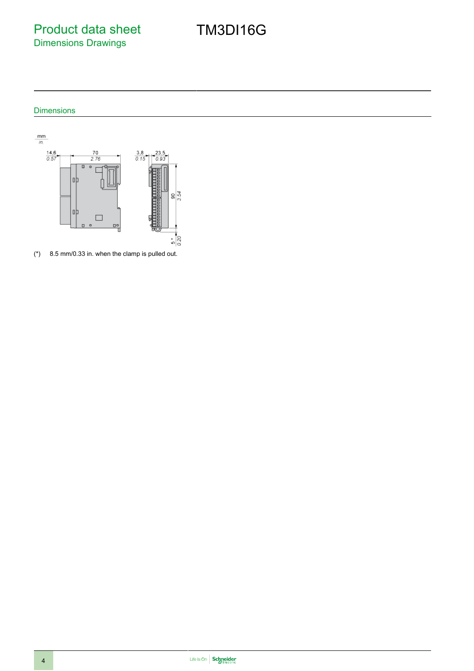Product data sheet Dimensions Drawings

### Dimensions



(\*) 8.5 mm/0.33 in. when the clamp is pulled out.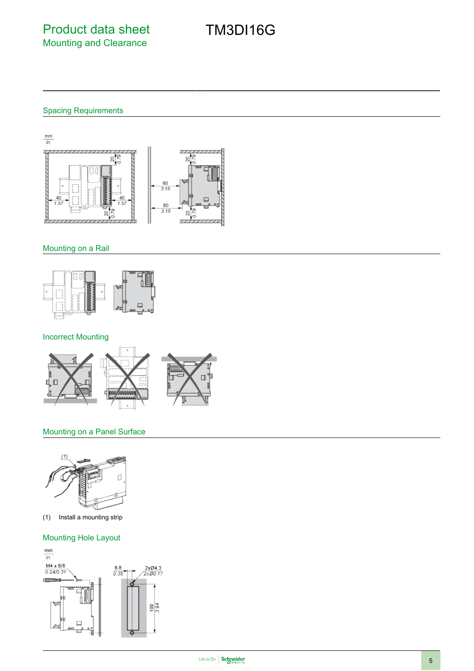Spacing Requirements



### Mounting on a Rail



### Incorrect Mounting



### Mounting on a Panel Surface



(1) Install a mounting strip

### Mounting Hole Layout